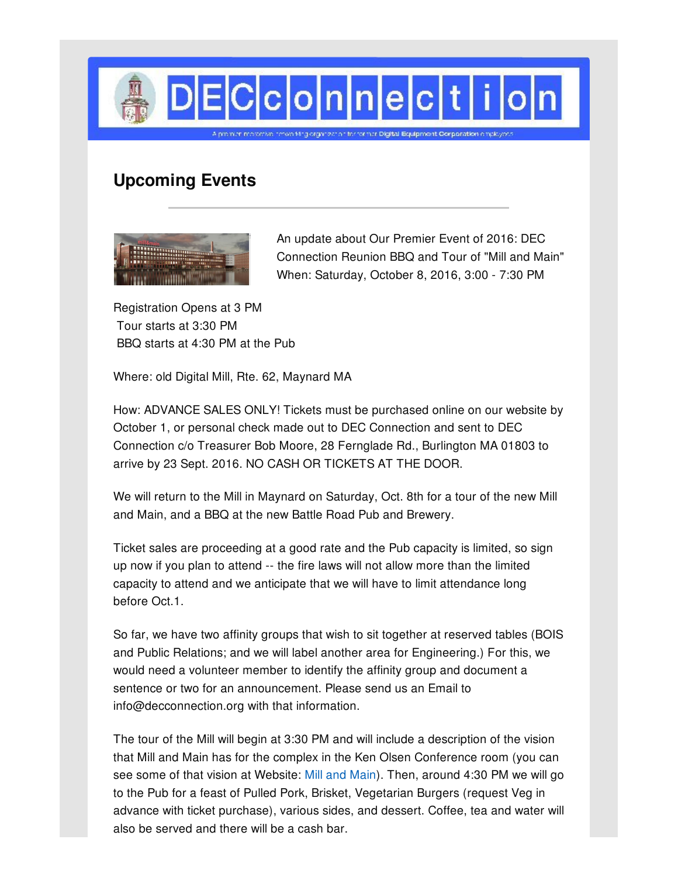

## **Upcoming Events**



An update about Our Premier Event of 2016: DEC Connection Reunion BBQ and Tour of "Mill and Main" When: Saturday, October 8, 2016, 3:00 - 7:30 PM

Registration Opens at 3 PM Tour starts at 3:30 PM BBQ starts at 4:30 PM at the Pub

Where: old Digital Mill, Rte. 62, Maynard MA

How: ADVANCE SALES ONLY! Tickets must be purchased online on our website by October 1, or personal check made out to DEC Connection and sent to DEC Connection c/o Treasurer Bob Moore, 28 Fernglade Rd., Burlington MA 01803 to arrive by 23 Sept. 2016. NO CASH OR TICKETS AT THE DOOR.

We will return to the Mill in Maynard on Saturday, Oct. 8th for a tour of the new Mill and Main, and a BBQ at the new Battle Road Pub and Brewery.

Ticket sales are proceeding at a good rate and the Pub capacity is limited, so sign up now if you plan to attend -- the fire laws will not allow more than the limited capacity to attend and we anticipate that we will have to limit attendance long before Oct.1.

So far, we have two affinity groups that wish to sit together at reserved tables (BOIS and Public Relations; and we will label another area for Engineering.) For this, we would need a volunteer member to identify the affinity group and document a sentence or two for an announcement. Please send us an Email to info@decconnection.org with that information.

The tour of the Mill will begin at 3:30 PM and will include a description of the vision that Mill and Main has for the complex in the Ken Olsen Conference room (you can see some of that vision at Website: Mill and [Main](http://mill-and-main.com/)). Then, around 4:30 PM we will go to the Pub for a feast of Pulled Pork, Brisket, Vegetarian Burgers (request Veg in advance with ticket purchase), various sides, and dessert. Coffee, tea and water will also be served and there will be a cash bar.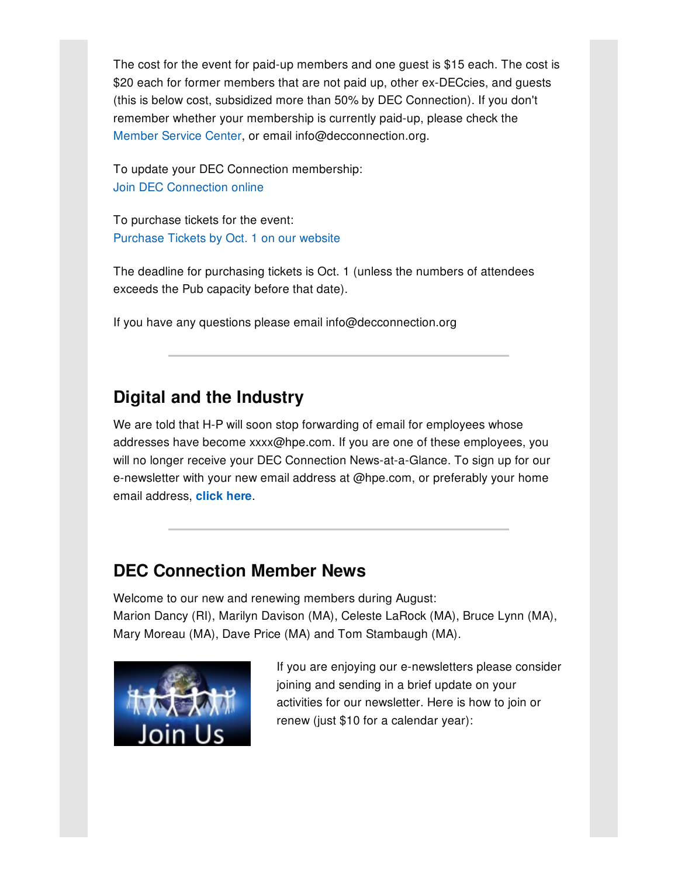The cost for the event for paid-up members and one guest is \$15 each. The cost is \$20 each for former members that are not paid up, other ex-DECcies, and guests (this is below cost, subsidized more than 50% by DEC Connection). If you don't remember whether your membership is currently paid-up, please check the [Member](http://www.decconnection.org/msclogin.php) Service Center, or email info@decconnection.org.

To update your DEC Connection membership: Join DEC [Connection](http://www.decconnection.org/join-online.htm) online

To purchase tickets for the event: [Purchase](http://www.decconnection.org/tickets-Mill-2016.php) Tickets by Oct. 1 on our website

The deadline for purchasing tickets is Oct. 1 (unless the numbers of attendees exceeds the Pub capacity before that date).

If you have any questions please email info@decconnection.org

# **Digital and the Industry**

We are told that H-P will soon stop forwarding of email for employees whose addresses have become xxxx@hpe.com. If you are one of these employees, you will no longer receive your DEC Connection News-at-a-Glance. To sign up for our e-newsletter with your new email address at @hpe.com, or preferably your home email address, **[click](https://gem.godaddy.com/signups/192107/join) here**.

## **DEC Connection Member News**

Welcome to our new and renewing members during August: Marion Dancy (RI), Marilyn Davison (MA), Celeste LaRock (MA), Bruce Lynn (MA), Mary Moreau (MA), Dave Price (MA) and Tom Stambaugh (MA).



If you are enjoying our e-newsletters please consider joining and sending in a brief update on your activities for our newsletter. Here is how to join or renew (just \$10 for a calendar year):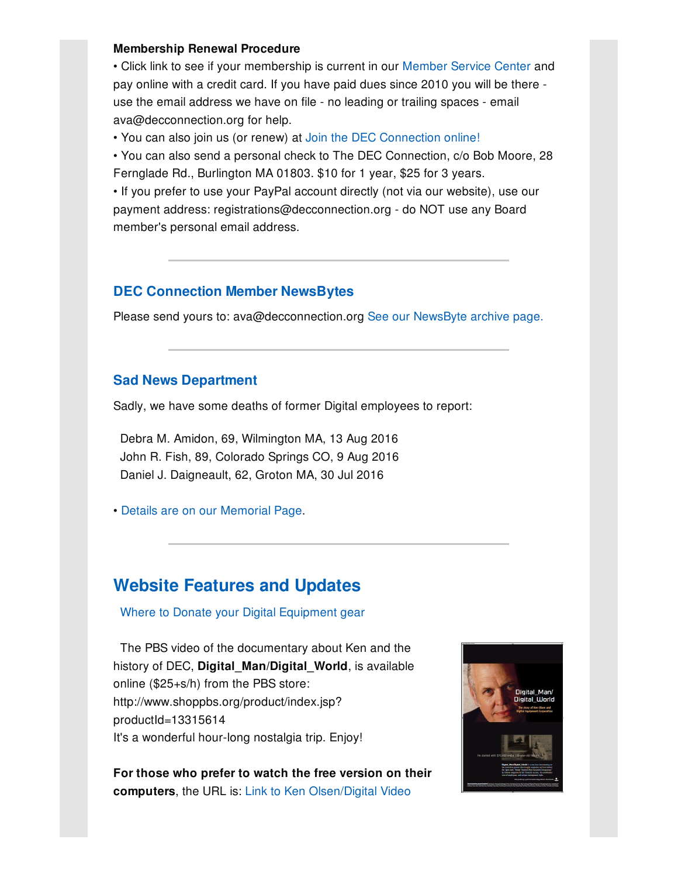#### **Membership Renewal Procedure**

• Click link to see if your membership is current in our [Member](http://www.decconnection.org/msclogin.php) Service Center and pay online with a credit card. If you have paid dues since 2010 you will be there use the email address we have on file - no leading or trailing spaces - email ava@decconnection.org for help.

• You can also join us (or renew) at Join the DEC [Connection](http://www.decconnection.org/join-online.htm) online!

• You can also send a personal check to The DEC Connection, c/o Bob Moore, 28 Fernglade Rd., Burlington MA 01803. \$10 for 1 year, \$25 for 3 years.

• If you prefer to use your PayPal account directly (not via our website), use our payment address: registrations@decconnection.org - do NOT use any Board member's personal email address.

### **DEC Connection Member NewsBytes**

Please send yours to: ava@decconnection.org See our [NewsByte](http://www.decconnection.org/newsbytes.htm) archive page.

### **Sad News Department**

Sadly, we have some deaths of former Digital employees to report:

Debra M. Amidon, 69, Wilmington MA, 13 Aug 2016 John R. Fish, 89, Colorado Springs CO, 9 Aug 2016 Daniel J. Daigneault, 62, Groton MA, 30 Jul 2016

• Details are on our [Memorial](http://www.decconnection.org/memorials.htm) Page.

### **Website [Features](http://www.decconnection.org) and Updates**

Where to Donate your Digital [Equipment](http://www.decconnection.org/DECdonations.htm) gear

The PBS video of the documentary about Ken and the history of DEC, **Digital\_Man/Digital\_World**, is available online (\$25+s/h) from the PBS store: http://www.shoppbs.org/product/index.jsp? productId=13315614 It's a wonderful hour-long nostalgia trip. Enjoy!

**For those who prefer to watch the free version on their computers**, the URL is: Link to Ken [Olsen/Digital](http://video.wfyi.org/video/2282149336/) Video